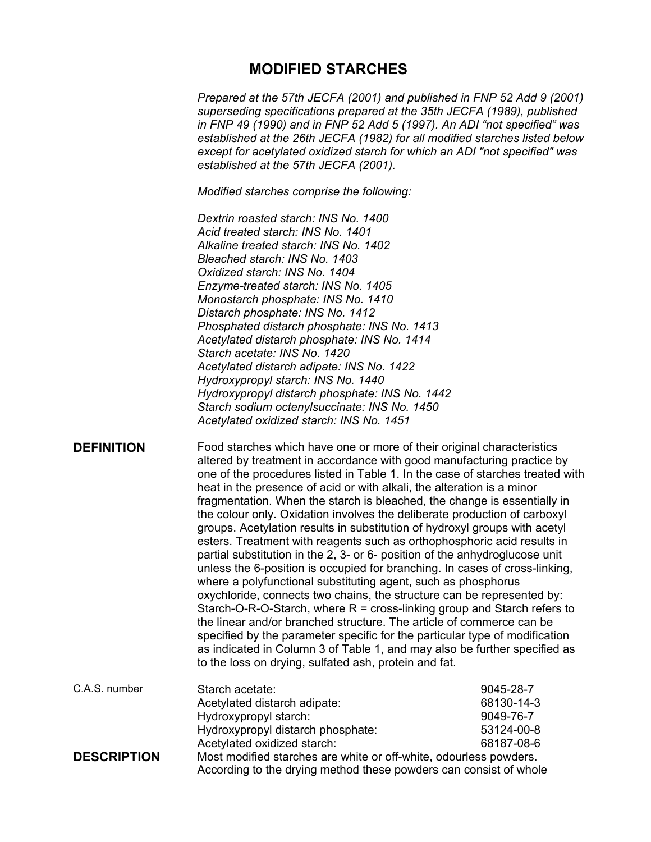# **MODIFIED STARCHES**

*Prepared at the 57th JECFA (2001) and published in FNP 52 Add 9 (2001) superseding specifications prepared at the 35th JECFA (1989), published in FNP 49 (1990) and in FNP 52 Add 5 (1997). An ADI "not specified" was established at the 26th JECFA (1982) for all modified starches listed below except for acetylated oxidized starch for which an ADI "not specified" was established at the 57th JECFA (2001).* 

*Modified starches comprise the following:* 

*Dextrin roasted starch: INS No. 1400 Acid treated starch: INS No. 1401 Alkaline treated starch: INS No. 1402 Bleached starch: INS No. 1403 Oxidized starch: INS No. 1404 Enzyme-treated starch: INS No. 1405 Monostarch phosphate: INS No. 1410 Distarch phosphate: INS No. 1412 Phosphated distarch phosphate: INS No. 1413 Acetylated distarch phosphate: INS No. 1414 Starch acetate: INS No. 1420 Acetylated distarch adipate: INS No. 1422 Hydroxypropyl starch: INS No. 1440 Hydroxypropyl distarch phosphate: INS No. 1442 Starch sodium octenylsuccinate: INS No. 1450 Acetylated oxidized starch: INS No. 1451* 

**DEFINITION** Food starches which have one or more of their original characteristics altered by treatment in accordance with good manufacturing practice by one of the procedures listed in Table 1. In the case of starches treated with heat in the presence of acid or with alkali, the alteration is a minor fragmentation. When the starch is bleached, the change is essentially in the colour only. Oxidation involves the deliberate production of carboxyl groups. Acetylation results in substitution of hydroxyl groups with acetyl esters. Treatment with reagents such as orthophosphoric acid results in partial substitution in the 2, 3- or 6- position of the anhydroglucose unit unless the 6-position is occupied for branching. In cases of cross-linking, where a polyfunctional substituting agent, such as phosphorus oxychloride, connects two chains, the structure can be represented by: Starch-O-R-O-Starch, where  $R = \text{cross-linking group}$  and Starch refers to the linear and/or branched structure. The article of commerce can be specified by the parameter specific for the particular type of modification as indicated in Column 3 of Table 1, and may also be further specified as to the loss on drying, sulfated ash, protein and fat.

| C.A.S. number      | Starch acetate:                                                   | 9045-28-7  |
|--------------------|-------------------------------------------------------------------|------------|
|                    | Acetylated distarch adipate:                                      | 68130-14-3 |
|                    | Hydroxypropyl starch:                                             | 9049-76-7  |
|                    | Hydroxypropyl distarch phosphate:                                 | 53124-00-8 |
|                    | Acetylated oxidized starch:                                       | 68187-08-6 |
| <b>DESCRIPTION</b> | Most modified starches are white or off-white, odourless powders. |            |
|                    | According to the drying method these powders can consist of whole |            |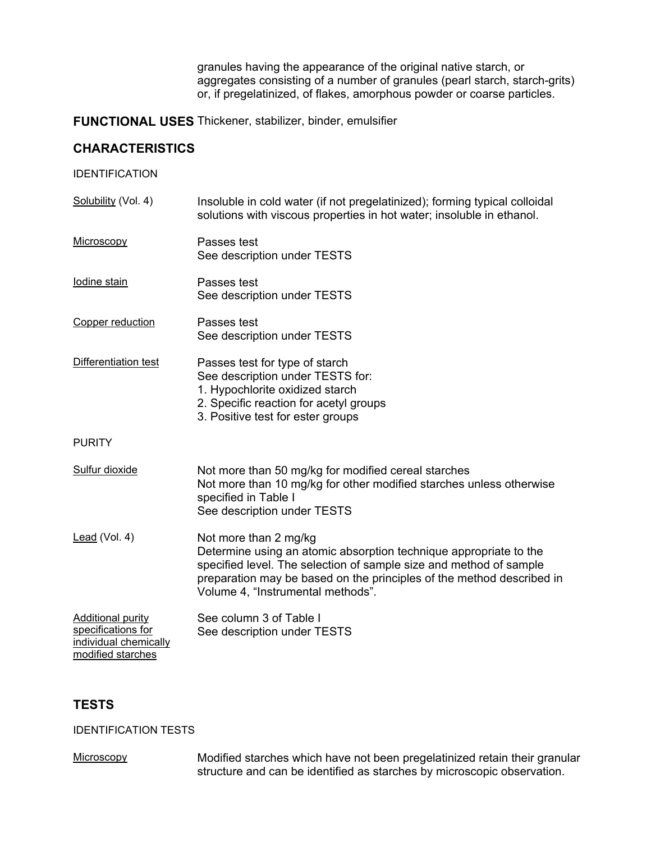granules having the appearance of the original native starch, or aggregates consisting of a number of granules (pearl starch, starch-grits) or, if pregelatinized, of flakes, amorphous powder or coarse particles.

**FUNCTIONAL USES** Thickener, stabilizer, binder, emulsifier

# **CHARACTERISTICS**

IDENTIFICATION

Solubility (Vol. 4) Insoluble in cold water (if not pregelatinized); forming typical colloidal solutions with viscous properties in hot water; insoluble in ethanol. Microscopy Passes test See description under TESTS Iodine stain Passes test See description under TESTS Copper reduction Passes test See description under TESTS Differentiation test **Passes test for type of starch** See description under TESTS for: 1. Hypochlorite oxidized starch 2. Specific reaction for acetyl groups 3. Positive test for ester groups **PURITY** Sulfur dioxide Not more than 50 mg/kg for modified cereal starches Not more than 10 mg/kg for other modified starches unless otherwise specified in Table I See description under TESTS Lead (Vol. 4) Not more than 2 mg/kg Determine using an atomic absorption technique appropriate to the specified level. The selection of sample size and method of sample preparation may be based on the principles of the method described in Volume 4, "Instrumental methods". Additional purity specifications for individual chemically modified starches See column 3 of Table I See description under TESTS

# **TESTS**

IDENTIFICATION TESTS

Microscopy Modified starches which have not been pregelatinized retain their granular structure and can be identified as starches by microscopic observation.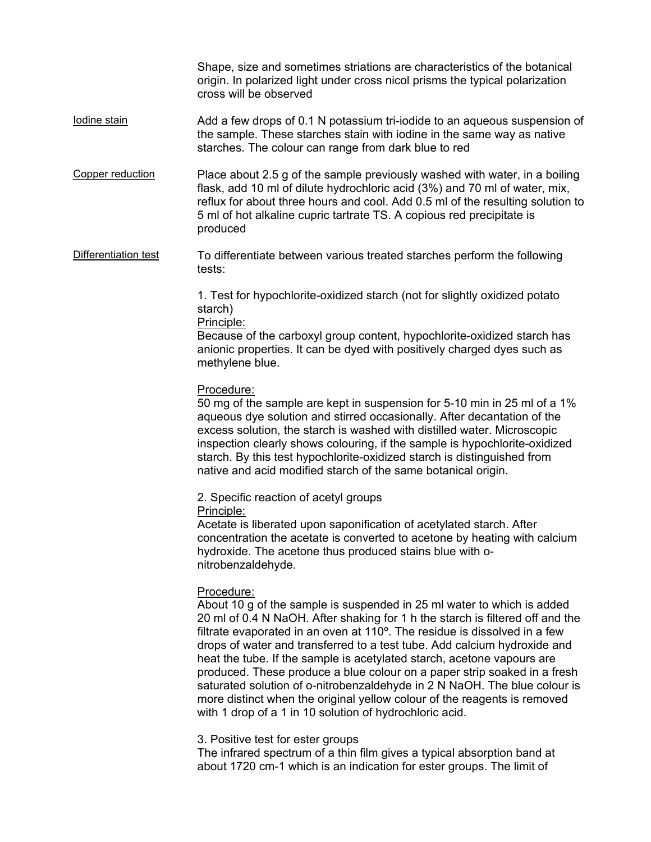Shape, size and sometimes striations are characteristics of the botanical origin. In polarized light under cross nicol prisms the typical polarization cross will be observed

- Iodine stain Add a few drops of 0.1 N potassium tri-iodide to an aqueous suspension of the sample. These starches stain with iodine in the same way as native starches. The colour can range from dark blue to red
- Copper reduction Place about 2.5 g of the sample previously washed with water, in a boiling flask, add 10 ml of dilute hydrochloric acid (3%) and 70 ml of water, mix, reflux for about three hours and cool. Add 0.5 ml of the resulting solution to 5 ml of hot alkaline cupric tartrate TS. A copious red precipitate is produced
- Differentiation test To differentiate between various treated starches perform the following tests:

1. Test for hypochlorite-oxidized starch (not for slightly oxidized potato starch)

Principle:

Because of the carboxyl group content, hypochlorite-oxidized starch has anionic properties. It can be dyed with positively charged dyes such as methylene blue.

Procedure:

50 mg of the sample are kept in suspension for 5-10 min in 25 ml of a 1% aqueous dye solution and stirred occasionally. After decantation of the excess solution, the starch is washed with distilled water. Microscopic inspection clearly shows colouring, if the sample is hypochlorite-oxidized starch. By this test hypochlorite-oxidized starch is distinguished from native and acid modified starch of the same botanical origin.

2. Specific reaction of acetyl groups Principle:

Acetate is liberated upon saponification of acetylated starch. After concentration the acetate is converted to acetone by heating with calcium hydroxide. The acetone thus produced stains blue with onitrobenzaldehyde.

# Procedure:

About 10 g of the sample is suspended in 25 ml water to which is added 20 ml of 0.4 N NaOH. After shaking for 1 h the starch is filtered off and the filtrate evaporated in an oven at 110º. The residue is dissolved in a few drops of water and transferred to a test tube. Add calcium hydroxide and heat the tube. If the sample is acetylated starch, acetone vapours are produced. These produce a blue colour on a paper strip soaked in a fresh saturated solution of o-nitrobenzaldehyde in 2 N NaOH. The blue colour is more distinct when the original yellow colour of the reagents is removed with 1 drop of a 1 in 10 solution of hydrochloric acid.

3. Positive test for ester groups

The infrared spectrum of a thin film gives a typical absorption band at about 1720 cm-1 which is an indication for ester groups. The limit of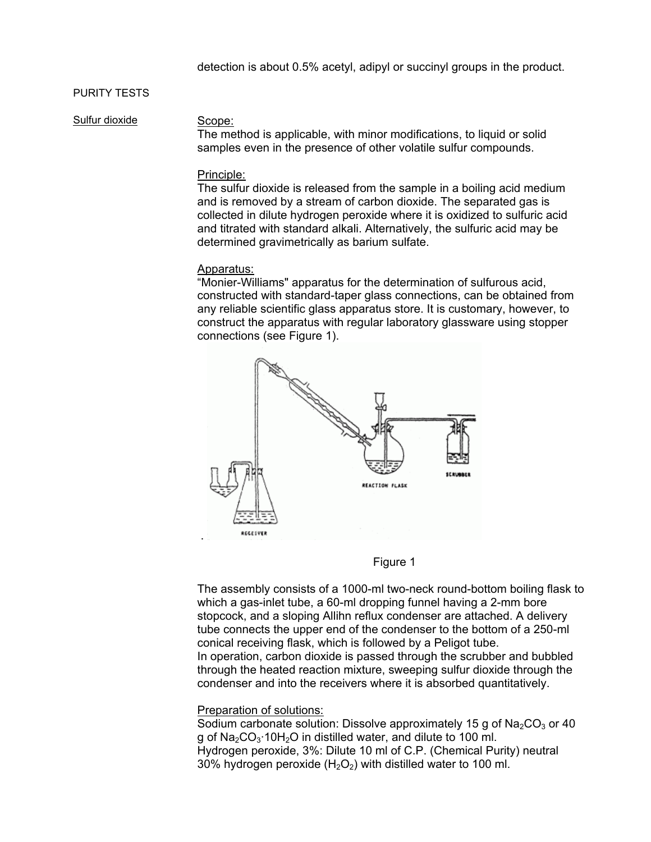# PURITY TESTS

Sulfur dioxide Scope:

The method is applicable, with minor modifications, to liquid or solid samples even in the presence of other volatile sulfur compounds.

### Principle:

The sulfur dioxide is released from the sample in a boiling acid medium and is removed by a stream of carbon dioxide. The separated gas is collected in dilute hydrogen peroxide where it is oxidized to sulfuric acid and titrated with standard alkali. Alternatively, the sulfuric acid may be determined gravimetrically as barium sulfate.

#### Apparatus:

"Monier-Williams" apparatus for the determination of sulfurous acid, constructed with standard-taper glass connections, can be obtained from any reliable scientific glass apparatus store. It is customary, however, to construct the apparatus with regular laboratory glassware using stopper connections (see Figure 1).





The assembly consists of a 1000-ml two-neck round-bottom boiling flask to which a gas-inlet tube, a 60-ml dropping funnel having a 2-mm bore stopcock, and a sloping Allihn reflux condenser are attached. A delivery tube connects the upper end of the condenser to the bottom of a 250-ml conical receiving flask, which is followed by a Peligot tube. In operation, carbon dioxide is passed through the scrubber and bubbled through the heated reaction mixture, sweeping sulfur dioxide through the condenser and into the receivers where it is absorbed quantitatively.

#### Preparation of solutions:

Sodium carbonate solution: Dissolve approximately 15 g of  $Na<sub>2</sub>CO<sub>3</sub>$  or 40 g of  $Na<sub>2</sub>CO<sub>3</sub>·10H<sub>2</sub>O$  in distilled water, and dilute to 100 ml. Hydrogen peroxide, 3%: Dilute 10 ml of C.P. (Chemical Purity) neutral 30% hydrogen peroxide  $(H<sub>2</sub>O<sub>2</sub>)$  with distilled water to 100 ml.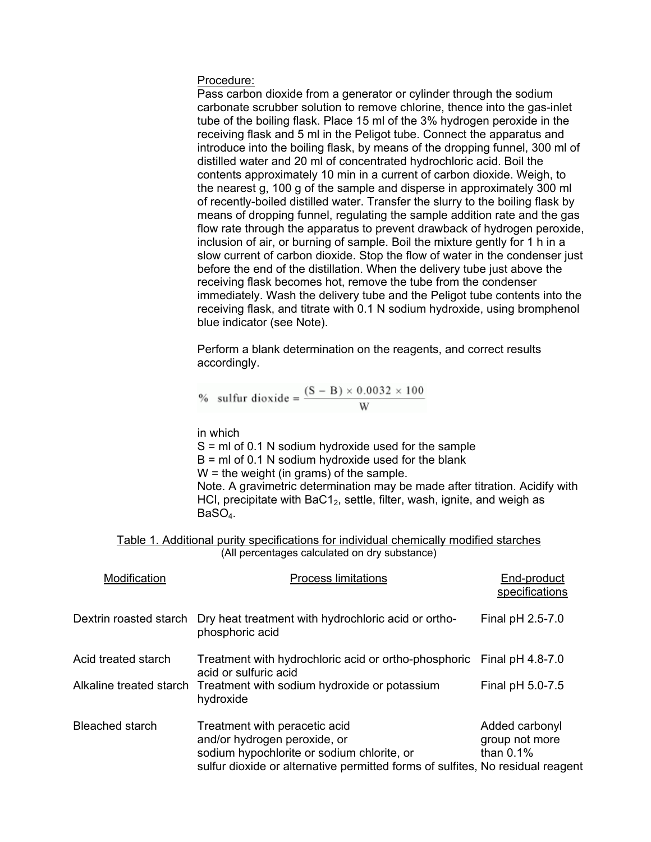#### Procedure:

Pass carbon dioxide from a generator or cylinder through the sodium carbonate scrubber solution to remove chlorine, thence into the gas-inlet tube of the boiling flask. Place 15 ml of the 3% hydrogen peroxide in the receiving flask and 5 ml in the Peligot tube. Connect the apparatus and introduce into the boiling flask, by means of the dropping funnel, 300 ml of distilled water and 20 ml of concentrated hydrochloric acid. Boil the contents approximately 10 min in a current of carbon dioxide. Weigh, to the nearest g, 100 g of the sample and disperse in approximately 300 ml of recently-boiled distilled water. Transfer the slurry to the boiling flask by means of dropping funnel, regulating the sample addition rate and the gas flow rate through the apparatus to prevent drawback of hydrogen peroxide, inclusion of air, or burning of sample. Boil the mixture gently for 1 h in a slow current of carbon dioxide. Stop the flow of water in the condenser just before the end of the distillation. When the delivery tube just above the receiving flask becomes hot, remove the tube from the condenser immediately. Wash the delivery tube and the Peligot tube contents into the receiving flask, and titrate with 0.1 N sodium hydroxide, using bromphenol blue indicator (see Note).

Perform a blank determination on the reagents, and correct results accordingly.

% sulfur dioxide = 
$$
\frac{(S - B) \times 0.0032 \times 100}{W}
$$

in which

 $S = mI$  of 0.1 N sodium hydroxide used for the sample

 $B = mI$  of 0.1 N sodium hydroxide used for the blank

 $W =$  the weight (in grams) of the sample.

Note. A gravimetric determination may be made after titration. Acidify with HCl, precipitate with BaC1 $_2$ , settle, filter, wash, ignite, and weigh as BaSO<sub>4</sub>.

### Table 1. Additional purity specifications for individual chemically modified starches (All percentages calculated on dry substance)

| Modification            | <b>Process limitations</b>                                                                                                                                                                    | End-product<br>specifications                    |
|-------------------------|-----------------------------------------------------------------------------------------------------------------------------------------------------------------------------------------------|--------------------------------------------------|
| Dextrin roasted starch  | Dry heat treatment with hydrochloric acid or ortho-<br>phosphoric acid                                                                                                                        | Final pH 2.5-7.0                                 |
| Acid treated starch     | Treatment with hydrochloric acid or ortho-phosphoric Final pH 4.8-7.0<br>acid or sulfuric acid                                                                                                |                                                  |
| Alkaline treated starch | Treatment with sodium hydroxide or potassium<br>hydroxide                                                                                                                                     | Final pH 5.0-7.5                                 |
| <b>Bleached starch</b>  | Treatment with peracetic acid<br>and/or hydrogen peroxide, or<br>sodium hypochlorite or sodium chlorite, or<br>sulfur dioxide or alternative permitted forms of sulfites, No residual reagent | Added carbonyl<br>group not more<br>than $0.1\%$ |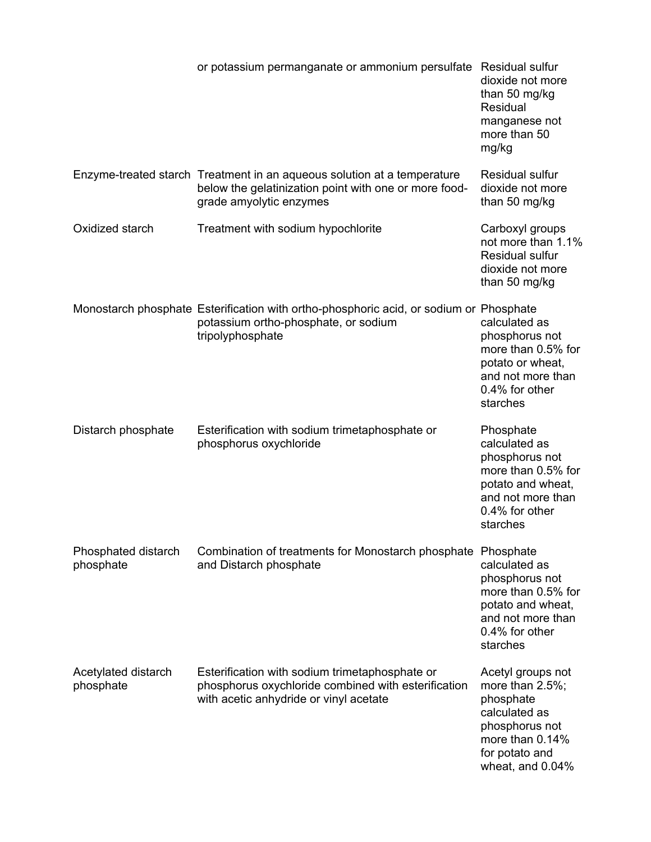|                                  | or potassium permanganate or ammonium persulfate Residual sulfur                                                                                            | dioxide not more<br>than 50 mg/kg<br>Residual<br>manganese not<br>more than 50<br>mg/kg                                                       |
|----------------------------------|-------------------------------------------------------------------------------------------------------------------------------------------------------------|-----------------------------------------------------------------------------------------------------------------------------------------------|
|                                  | Enzyme-treated starch Treatment in an aqueous solution at a temperature<br>below the gelatinization point with one or more food-<br>grade amyolytic enzymes | Residual sulfur<br>dioxide not more<br>than 50 mg/kg                                                                                          |
| Oxidized starch                  | Treatment with sodium hypochlorite                                                                                                                          | Carboxyl groups<br>not more than 1.1%<br>Residual sulfur<br>dioxide not more<br>than 50 mg/kg                                                 |
|                                  | Monostarch phosphate Esterification with ortho-phosphoric acid, or sodium or Phosphate<br>potassium ortho-phosphate, or sodium<br>tripolyphosphate          | calculated as<br>phosphorus not<br>more than 0.5% for<br>potato or wheat,<br>and not more than<br>0.4% for other<br>starches                  |
| Distarch phosphate               | Esterification with sodium trimetaphosphate or<br>phosphorus oxychloride                                                                                    | Phosphate<br>calculated as<br>phosphorus not<br>more than 0.5% for<br>potato and wheat,<br>and not more than<br>0.4% for other<br>starches    |
| Phosphated distarch<br>phosphate | Combination of treatments for Monostarch phosphate<br>and Distarch phosphate                                                                                | Phosphate<br>calculated as<br>phosphorus not<br>more than 0.5% for<br>potato and wheat,<br>and not more than<br>0.4% for other<br>starches    |
| Acetylated distarch<br>phosphate | Esterification with sodium trimetaphosphate or<br>phosphorus oxychloride combined with esterification<br>with acetic anhydride or vinyl acetate             | Acetyl groups not<br>more than 2.5%;<br>phosphate<br>calculated as<br>phosphorus not<br>more than 0.14%<br>for potato and<br>wheat, and 0.04% |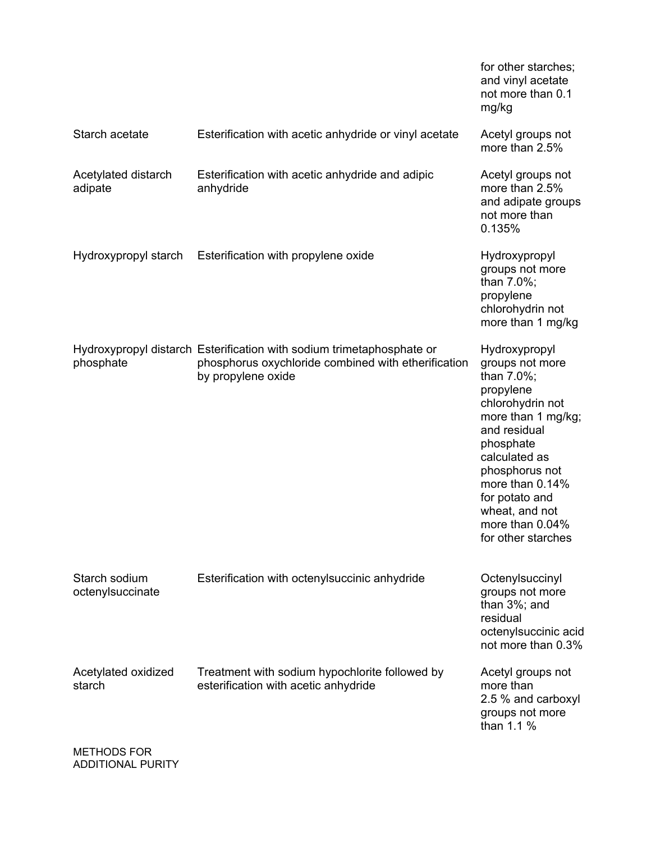|                                                                              |                                                                                                                                                    | for other starches;<br>and vinyl acetate<br>not more than 0.1<br>mg/kg                                                                                                                                                                                                |
|------------------------------------------------------------------------------|----------------------------------------------------------------------------------------------------------------------------------------------------|-----------------------------------------------------------------------------------------------------------------------------------------------------------------------------------------------------------------------------------------------------------------------|
| Starch acetate                                                               | Esterification with acetic anhydride or vinyl acetate                                                                                              | Acetyl groups not<br>more than 2.5%                                                                                                                                                                                                                                   |
| Acetylated distarch<br>adipate                                               | Esterification with acetic anhydride and adipic<br>anhydride                                                                                       | Acetyl groups not<br>more than 2.5%<br>and adipate groups<br>not more than<br>0.135%                                                                                                                                                                                  |
| Hydroxypropyl starch                                                         | Esterification with propylene oxide                                                                                                                | Hydroxypropyl<br>groups not more<br>than 7.0%;<br>propylene<br>chlorohydrin not<br>more than 1 mg/kg                                                                                                                                                                  |
| phosphate                                                                    | Hydroxypropyl distarch Esterification with sodium trimetaphosphate or<br>phosphorus oxychloride combined with etherification<br>by propylene oxide | Hydroxypropyl<br>groups not more<br>than 7.0%;<br>propylene<br>chlorohydrin not<br>more than 1 mg/kg;<br>and residual<br>phosphate<br>calculated as<br>phosphorus not<br>more than 0.14%<br>for potato and<br>wheat, and not<br>more than 0.04%<br>for other starches |
| Starch sodium<br>octenylsuccinate                                            | Esterification with octenylsuccinic anhydride                                                                                                      | Octenylsuccinyl<br>groups not more<br>than 3%; and<br>residual<br>octenylsuccinic acid<br>not more than 0.3%                                                                                                                                                          |
| Acetylated oxidized<br>starch<br>$M$ $\Gamma$ TH $\cap$ $\cap$ $\cap$ $\cap$ | Treatment with sodium hypochlorite followed by<br>esterification with acetic anhydride                                                             | Acetyl groups not<br>more than<br>2.5 % and carboxyl<br>groups not more<br>than 1.1 %                                                                                                                                                                                 |

METHODS FOR ADDITIONAL PURITY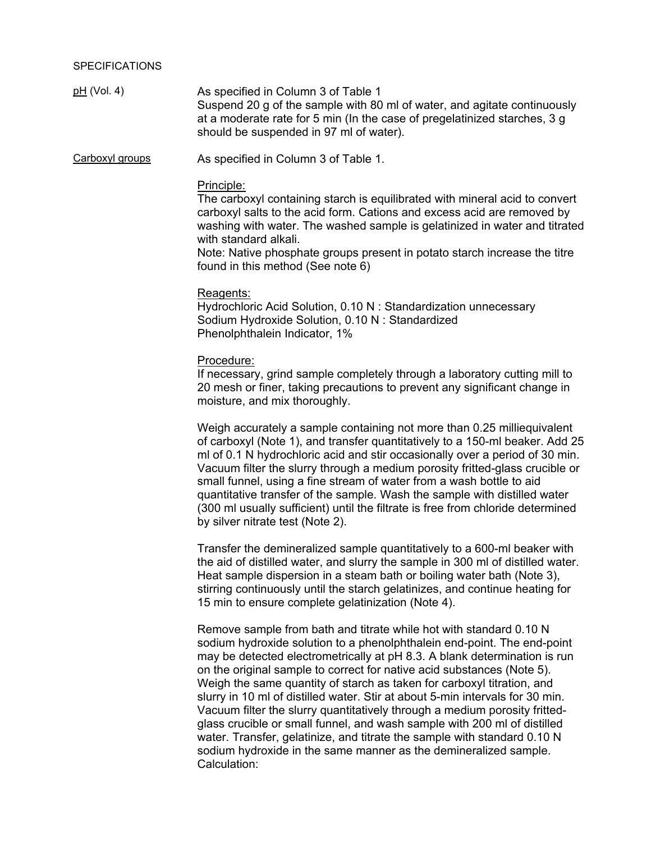pH (Vol. 4) As specified in Column 3 of Table 1 Suspend 20 g of the sample with 80 ml of water, and agitate continuously at a moderate rate for 5 min (In the case of pregelatinized starches, 3 g should be suspended in 97 ml of water).

Carboxyl groups As specified in Column 3 of Table 1.

### Principle:

The carboxyl containing starch is equilibrated with mineral acid to convert carboxyl salts to the acid form. Cations and excess acid are removed by washing with water. The washed sample is gelatinized in water and titrated with standard alkali.

Note: Native phosphate groups present in potato starch increase the titre found in this method (See note 6)

#### Reagents:

Hydrochloric Acid Solution, 0.10 N : Standardization unnecessary Sodium Hydroxide Solution, 0.10 N : Standardized Phenolphthalein Indicator, 1%

#### Procedure:

If necessary, grind sample completely through a laboratory cutting mill to 20 mesh or finer, taking precautions to prevent any significant change in moisture, and mix thoroughly.

Weigh accurately a sample containing not more than 0.25 milliequivalent of carboxyl (Note 1), and transfer quantitatively to a 150-ml beaker. Add 25 ml of 0.1 N hydrochloric acid and stir occasionally over a period of 30 min. Vacuum filter the slurry through a medium porosity fritted-glass crucible or small funnel, using a fine stream of water from a wash bottle to aid quantitative transfer of the sample. Wash the sample with distilled water (300 ml usually sufficient) until the filtrate is free from chloride determined by silver nitrate test (Note 2).

Transfer the demineralized sample quantitatively to a 600-ml beaker with the aid of distilled water, and slurry the sample in 300 ml of distilled water. Heat sample dispersion in a steam bath or boiling water bath (Note 3), stirring continuously until the starch gelatinizes, and continue heating for 15 min to ensure complete gelatinization (Note 4).

Remove sample from bath and titrate while hot with standard 0.10 N sodium hydroxide solution to a phenolphthalein end-point. The end-point may be detected electrometrically at pH 8.3. A blank determination is run on the original sample to correct for native acid substances (Note 5). Weigh the same quantity of starch as taken for carboxyl titration, and slurry in 10 ml of distilled water. Stir at about 5-min intervals for 30 min. Vacuum filter the slurry quantitatively through a medium porosity frittedglass crucible or small funnel, and wash sample with 200 ml of distilled water. Transfer, gelatinize, and titrate the sample with standard 0.10 N sodium hydroxide in the same manner as the demineralized sample. Calculation: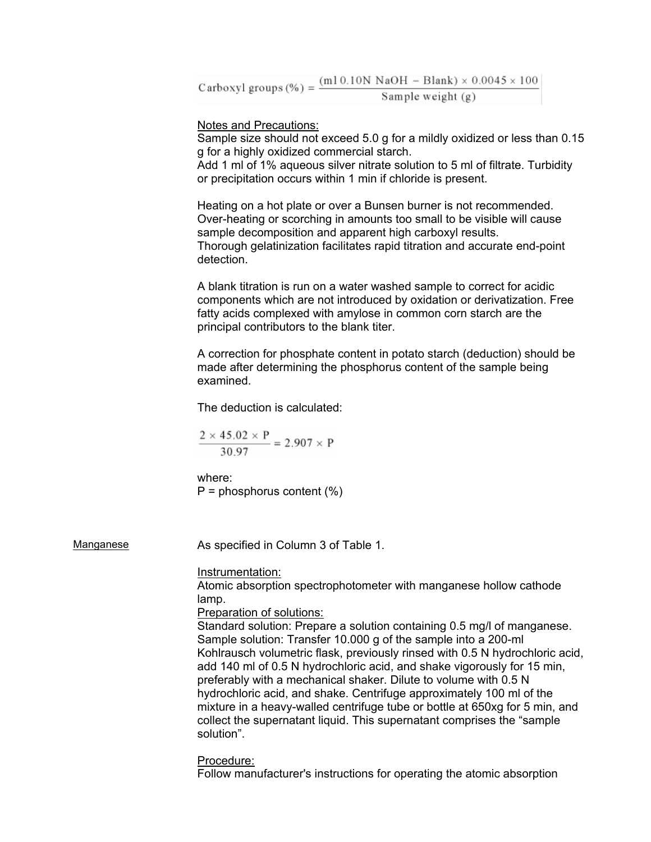Carboxyl groups (%) =  $\frac{(m10.10N \text{ NaOH} - \text{Blank}) \times 0.0045 \times 100}{\text{Sample weight } (a)}$ Sample weight  $(g)$ 

Notes and Precautions:

Sample size should not exceed 5.0 g for a mildly oxidized or less than 0.15 g for a highly oxidized commercial starch.

Add 1 ml of 1% aqueous silver nitrate solution to 5 ml of filtrate. Turbidity or precipitation occurs within 1 min if chloride is present.

Heating on a hot plate or over a Bunsen burner is not recommended. Over-heating or scorching in amounts too small to be visible will cause sample decomposition and apparent high carboxyl results. Thorough gelatinization facilitates rapid titration and accurate end-point detection.

A blank titration is run on a water washed sample to correct for acidic components which are not introduced by oxidation or derivatization. Free fatty acids complexed with amylose in common corn starch are the principal contributors to the blank titer.

A correction for phosphate content in potato starch (deduction) should be made after determining the phosphorus content of the sample being examined.

The deduction is calculated:

$$
\frac{2 \times 45.02 \times P}{30.97} = 2.907 \times P
$$

where:  $P =$  phosphorus content  $(\%)$ 

Manganese **As specified in Column 3 of Table 1.** 

#### Instrumentation:

Atomic absorption spectrophotometer with manganese hollow cathode lamp.

Preparation of solutions:

Standard solution: Prepare a solution containing 0.5 mg/l of manganese. Sample solution: Transfer 10.000 g of the sample into a 200-ml Kohlrausch volumetric flask, previously rinsed with 0.5 N hydrochloric acid, add 140 ml of 0.5 N hydrochloric acid, and shake vigorously for 15 min, preferably with a mechanical shaker. Dilute to volume with 0.5 N hydrochloric acid, and shake. Centrifuge approximately 100 ml of the mixture in a heavy-walled centrifuge tube or bottle at 650xg for 5 min, and collect the supernatant liquid. This supernatant comprises the "sample solution".

Procedure:

Follow manufacturer's instructions for operating the atomic absorption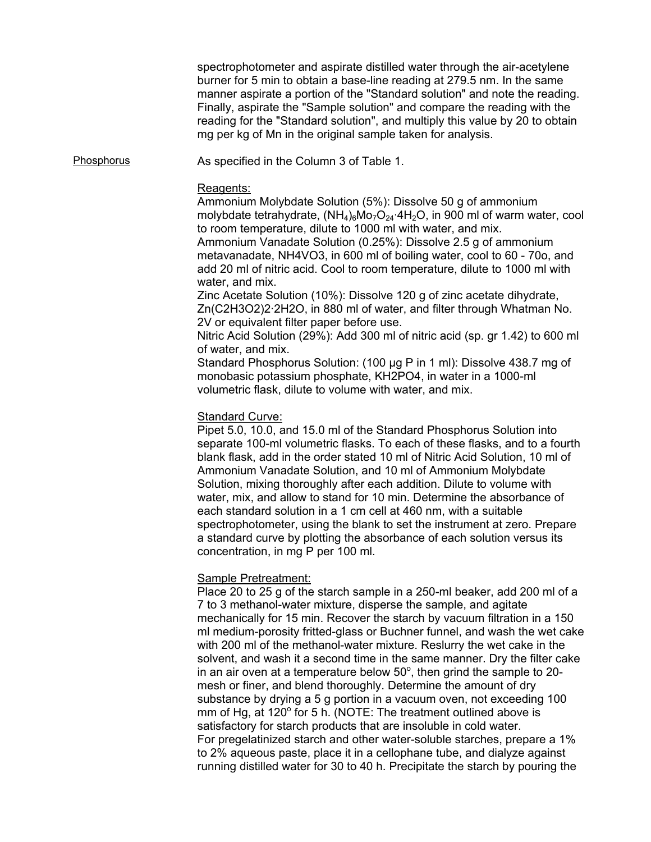spectrophotometer and aspirate distilled water through the air-acetylene burner for 5 min to obtain a base-line reading at 279.5 nm. In the same manner aspirate a portion of the "Standard solution" and note the reading. Finally, aspirate the "Sample solution" and compare the reading with the reading for the "Standard solution", and multiply this value by 20 to obtain mg per kg of Mn in the original sample taken for analysis.

Phosphorus **As specified in the Column 3 of Table 1.** 

# Reagents:

Ammonium Molybdate Solution (5%): Dissolve 50 g of ammonium molybdate tetrahydrate,  $(NH_4)_6M_2O_{24} \cdot 4H_2O$ , in 900 ml of warm water, cool to room temperature, dilute to 1000 ml with water, and mix. Ammonium Vanadate Solution (0.25%): Dissolve 2.5 g of ammonium metavanadate, NH4VO3, in 600 ml of boiling water, cool to 60 - 70o, and add 20 ml of nitric acid. Cool to room temperature, dilute to 1000 ml with water, and mix.

Zinc Acetate Solution (10%): Dissolve 120 g of zinc acetate dihydrate, Zn(C2H3O2)2·2H2O, in 880 ml of water, and filter through Whatman No. 2V or equivalent filter paper before use.

Nitric Acid Solution (29%): Add 300 ml of nitric acid (sp. gr 1.42) to 600 ml of water, and mix.

Standard Phosphorus Solution: (100 µg P in 1 ml): Dissolve 438.7 mg of monobasic potassium phosphate, KH2PO4, in water in a 1000-ml volumetric flask, dilute to volume with water, and mix.

# Standard Curve:

Pipet 5.0, 10.0, and 15.0 ml of the Standard Phosphorus Solution into separate 100-ml volumetric flasks. To each of these flasks, and to a fourth blank flask, add in the order stated 10 ml of Nitric Acid Solution, 10 ml of Ammonium Vanadate Solution, and 10 ml of Ammonium Molybdate Solution, mixing thoroughly after each addition. Dilute to volume with water, mix, and allow to stand for 10 min. Determine the absorbance of each standard solution in a 1 cm cell at 460 nm, with a suitable spectrophotometer, using the blank to set the instrument at zero. Prepare a standard curve by plotting the absorbance of each solution versus its concentration, in mg P per 100 ml.

# Sample Pretreatment:

Place 20 to 25 g of the starch sample in a 250-ml beaker, add 200 ml of a 7 to 3 methanol-water mixture, disperse the sample, and agitate mechanically for 15 min. Recover the starch by vacuum filtration in a 150 ml medium-porosity fritted-glass or Buchner funnel, and wash the wet cake with 200 ml of the methanol-water mixture. Reslurry the wet cake in the solvent, and wash it a second time in the same manner. Dry the filter cake in an air oven at a temperature below  $50^{\circ}$ , then grind the sample to 20mesh or finer, and blend thoroughly. Determine the amount of dry substance by drying a 5 g portion in a vacuum oven, not exceeding 100 mm of Hg, at 120 $^{\circ}$  for 5 h. (NOTE: The treatment outlined above is satisfactory for starch products that are insoluble in cold water. For pregelatinized starch and other water-soluble starches, prepare a 1% to 2% aqueous paste, place it in a cellophane tube, and dialyze against running distilled water for 30 to 40 h. Precipitate the starch by pouring the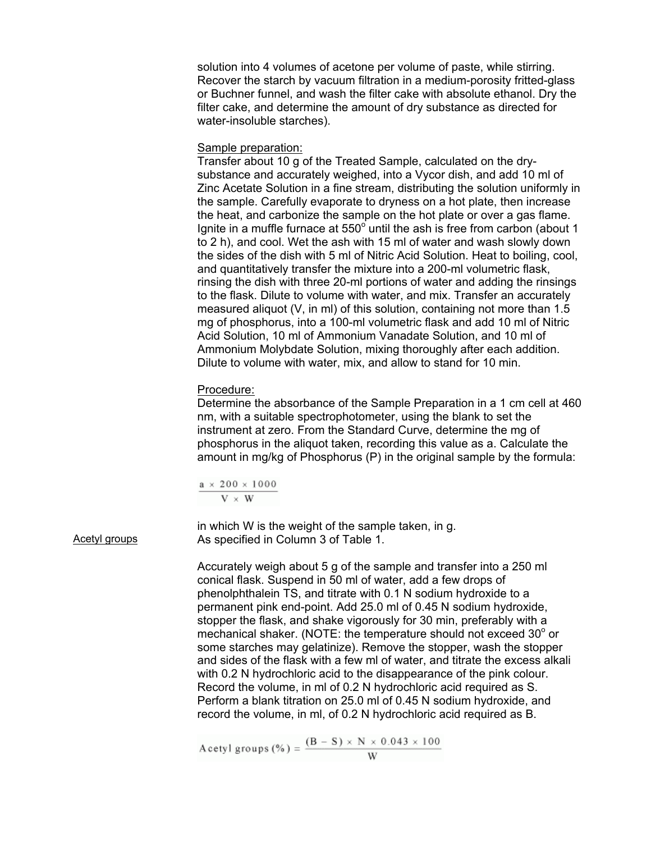solution into 4 volumes of acetone per volume of paste, while stirring. Recover the starch by vacuum filtration in a medium-porosity fritted-glass or Buchner funnel, and wash the filter cake with absolute ethanol. Dry the filter cake, and determine the amount of dry substance as directed for water-insoluble starches).

### Sample preparation:

Transfer about 10 g of the Treated Sample, calculated on the drysubstance and accurately weighed, into a Vycor dish, and add 10 ml of Zinc Acetate Solution in a fine stream, distributing the solution uniformly in the sample. Carefully evaporate to dryness on a hot plate, then increase the heat, and carbonize the sample on the hot plate or over a gas flame. Ignite in a muffle furnace at  $550^{\circ}$  until the ash is free from carbon (about 1 to 2 h), and cool. Wet the ash with 15 ml of water and wash slowly down the sides of the dish with 5 ml of Nitric Acid Solution. Heat to boiling, cool, and quantitatively transfer the mixture into a 200-ml volumetric flask, rinsing the dish with three 20-ml portions of water and adding the rinsings to the flask. Dilute to volume with water, and mix. Transfer an accurately measured aliquot (V, in ml) of this solution, containing not more than 1.5 mg of phosphorus, into a 100-ml volumetric flask and add 10 ml of Nitric Acid Solution, 10 ml of Ammonium Vanadate Solution, and 10 ml of Ammonium Molybdate Solution, mixing thoroughly after each addition. Dilute to volume with water, mix, and allow to stand for 10 min.

#### Procedure:

Determine the absorbance of the Sample Preparation in a 1 cm cell at 460 nm, with a suitable spectrophotometer, using the blank to set the instrument at zero. From the Standard Curve, determine the mg of phosphorus in the aliquot taken, recording this value as a. Calculate the amount in mg/kg of Phosphorus (P) in the original sample by the formula:

$$
\frac{a\,\times\,200\,\times\,1000}{V\,\times\,W}
$$

in which W is the weight of the sample taken, in g. Acetyl groups **As specified in Column 3 of Table 1.** 

> Accurately weigh about 5 g of the sample and transfer into a 250 ml conical flask. Suspend in 50 ml of water, add a few drops of phenolphthalein TS, and titrate with 0.1 N sodium hydroxide to a permanent pink end-point. Add 25.0 ml of 0.45 N sodium hydroxide, stopper the flask, and shake vigorously for 30 min, preferably with a mechanical shaker. (NOTE: the temperature should not exceed  $30^{\circ}$  or some starches may gelatinize). Remove the stopper, wash the stopper and sides of the flask with a few ml of water, and titrate the excess alkali with 0.2 N hydrochloric acid to the disappearance of the pink colour. Record the volume, in ml of 0.2 N hydrochloric acid required as S. Perform a blank titration on 25.0 ml of 0.45 N sodium hydroxide, and record the volume, in ml, of 0.2 N hydrochloric acid required as B.

Acetyl groups (%) =  $\frac{(B - S) \times N \times 0.043 \times 100}{W}$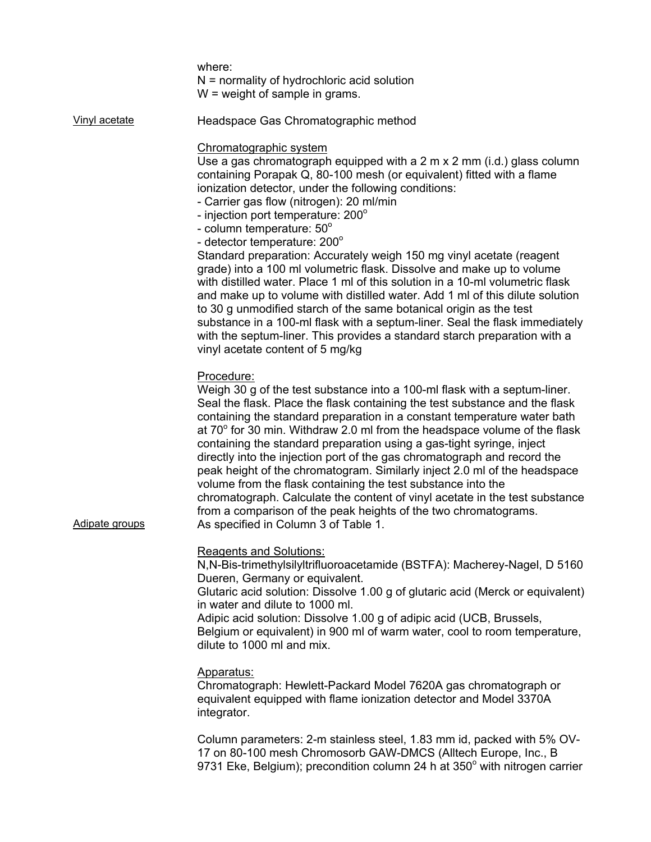where: N = normality of hydrochloric acid solution W = weight of sample in grams.

Vinyl acetate Headspace Gas Chromatographic method

### Chromatographic system

Use a gas chromatograph equipped with a 2 m x 2 mm (i.d.) glass column containing Porapak Q, 80-100 mesh (or equivalent) fitted with a flame ionization detector, under the following conditions:

- Carrier gas flow (nitrogen): 20 ml/min

- injection port temperature: 200°
- column temperature: 50°
- detector temperature: 200°

Standard preparation: Accurately weigh 150 mg vinyl acetate (reagent grade) into a 100 ml volumetric flask. Dissolve and make up to volume with distilled water. Place 1 ml of this solution in a 10-ml volumetric flask and make up to volume with distilled water. Add 1 ml of this dilute solution to 30 g unmodified starch of the same botanical origin as the test substance in a 100-ml flask with a septum-liner. Seal the flask immediately with the septum-liner. This provides a standard starch preparation with a vinyl acetate content of 5 mg/kg

# Procedure:

Weigh 30 g of the test substance into a 100-ml flask with a septum-liner. Seal the flask. Place the flask containing the test substance and the flask containing the standard preparation in a constant temperature water bath at 70 $^{\circ}$  for 30 min. Withdraw 2.0 ml from the headspace volume of the flask containing the standard preparation using a gas-tight syringe, inject directly into the injection port of the gas chromatograph and record the peak height of the chromatogram. Similarly inject 2.0 ml of the headspace volume from the flask containing the test substance into the chromatograph. Calculate the content of vinyl acetate in the test substance from a comparison of the peak heights of the two chromatograms. Adipate groups **As specified in Column 3 of Table 1.** 

Reagents and Solutions: N,N-Bis-trimethylsilyltrifluoroacetamide (BSTFA): Macherey-Nagel, D 5160 Dueren, Germany or equivalent.

Glutaric acid solution: Dissolve 1.00 g of glutaric acid (Merck or equivalent) in water and dilute to 1000 ml.

Adipic acid solution: Dissolve 1.00 g of adipic acid (UCB, Brussels, Belgium or equivalent) in 900 ml of warm water, cool to room temperature, dilute to 1000 ml and mix.

#### Apparatus:

Chromatograph: Hewlett-Packard Model 7620A gas chromatograph or equivalent equipped with flame ionization detector and Model 3370A integrator.

Column parameters: 2-m stainless steel, 1.83 mm id, packed with 5% OV-17 on 80-100 mesh Chromosorb GAW-DMCS (Alltech Europe, Inc., B 9731 Eke, Belgium); precondition column 24 h at  $350^{\circ}$  with nitrogen carrier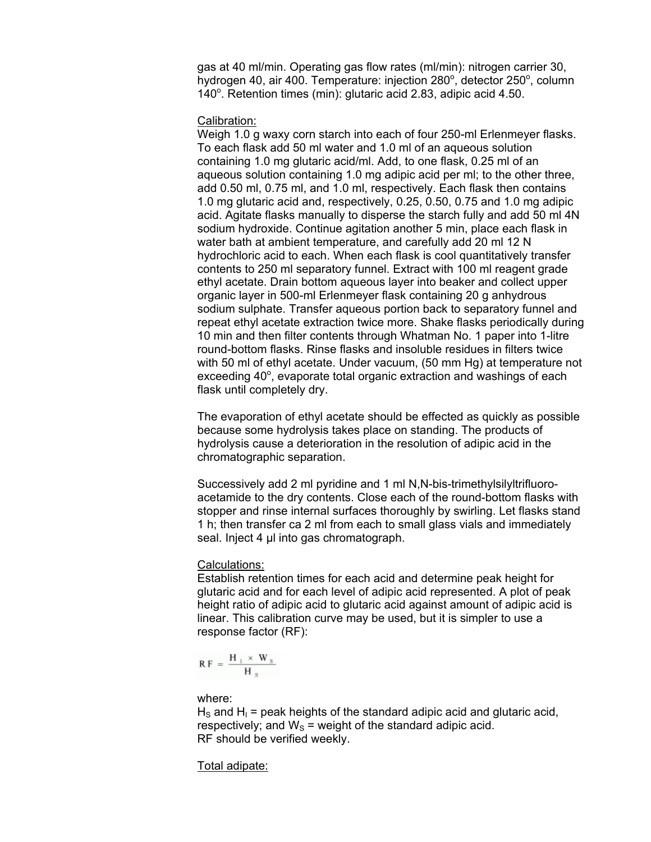gas at 40 ml/min. Operating gas flow rates (ml/min): nitrogen carrier 30, hydrogen 40, air 400. Temperature: injection 280°, detector 250°, column 140°. Retention times (min): glutaric acid 2.83, adipic acid 4.50.

#### Calibration:

Weigh 1.0 g waxy corn starch into each of four 250-ml Erlenmeyer flasks. To each flask add 50 ml water and 1.0 ml of an aqueous solution containing 1.0 mg glutaric acid/ml. Add, to one flask, 0.25 ml of an aqueous solution containing 1.0 mg adipic acid per ml; to the other three, add 0.50 ml, 0.75 ml, and 1.0 ml, respectively. Each flask then contains 1.0 mg glutaric acid and, respectively, 0.25, 0.50, 0.75 and 1.0 mg adipic acid. Agitate flasks manually to disperse the starch fully and add 50 ml 4N sodium hydroxide. Continue agitation another 5 min, place each flask in water bath at ambient temperature, and carefully add 20 ml 12 N hydrochloric acid to each. When each flask is cool quantitatively transfer contents to 250 ml separatory funnel. Extract with 100 ml reagent grade ethyl acetate. Drain bottom aqueous layer into beaker and collect upper organic layer in 500-ml Erlenmeyer flask containing 20 g anhydrous sodium sulphate. Transfer aqueous portion back to separatory funnel and repeat ethyl acetate extraction twice more. Shake flasks periodically during 10 min and then filter contents through Whatman No. 1 paper into 1-litre round-bottom flasks. Rinse flasks and insoluble residues in filters twice with 50 ml of ethyl acetate. Under vacuum, (50 mm Hg) at temperature not exceeding 40°, evaporate total organic extraction and washings of each flask until completely dry.

The evaporation of ethyl acetate should be effected as quickly as possible because some hydrolysis takes place on standing. The products of hydrolysis cause a deterioration in the resolution of adipic acid in the chromatographic separation.

Successively add 2 ml pyridine and 1 ml N,N-bis-trimethylsilyltrifluoroacetamide to the dry contents. Close each of the round-bottom flasks with stopper and rinse internal surfaces thoroughly by swirling. Let flasks stand 1 h; then transfer ca 2 ml from each to small glass vials and immediately seal. Inject 4 µl into gas chromatograph.

#### Calculations:

Establish retention times for each acid and determine peak height for glutaric acid and for each level of adipic acid represented. A plot of peak height ratio of adipic acid to glutaric acid against amount of adipic acid is linear. This calibration curve may be used, but it is simpler to use a response factor (RF):

$$
R\,F\,=\,\frac{H_{\perp}\,\times\,W_{\,s}}{H_{\,s}}
$$

where:

 $H<sub>S</sub>$  and  $H<sub>1</sub>$  = peak heights of the standard adipic acid and glutaric acid, respectively; and  $W_s$  = weight of the standard adipic acid. RF should be verified weekly.

Total adipate: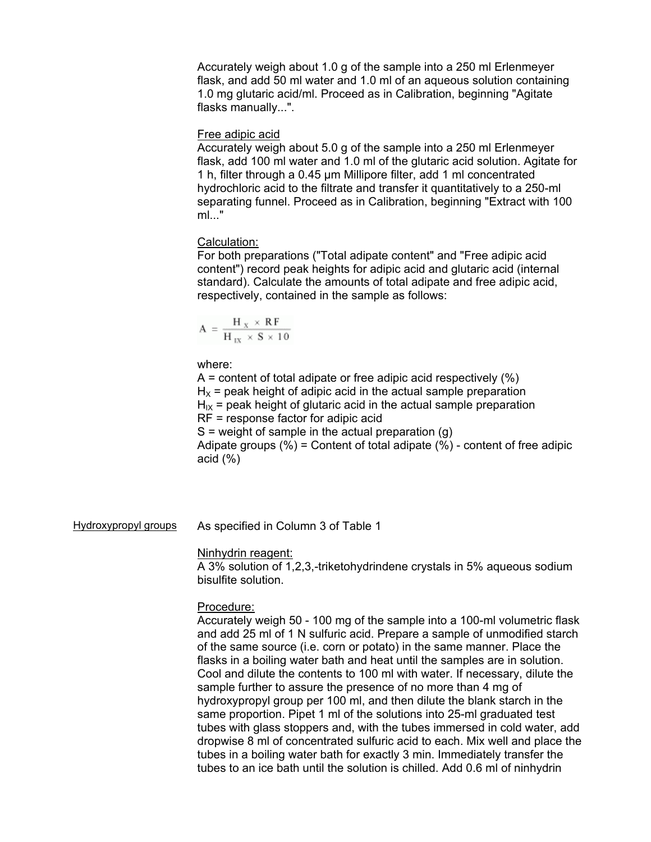Accurately weigh about 1.0 g of the sample into a 250 ml Erlenmeyer flask, and add 50 ml water and 1.0 ml of an aqueous solution containing 1.0 mg glutaric acid/ml. Proceed as in Calibration, beginning "Agitate flasks manually...".

#### Free adipic acid

Accurately weigh about 5.0 g of the sample into a 250 ml Erlenmeyer flask, add 100 ml water and 1.0 ml of the glutaric acid solution. Agitate for 1 h, filter through a 0.45 µm Millipore filter, add 1 ml concentrated hydrochloric acid to the filtrate and transfer it quantitatively to a 250-ml separating funnel. Proceed as in Calibration, beginning "Extract with 100 ml..."

# Calculation:

For both preparations ("Total adipate content" and "Free adipic acid content") record peak heights for adipic acid and glutaric acid (internal standard). Calculate the amounts of total adipate and free adipic acid, respectively, contained in the sample as follows:

$$
A\,=\,\frac{H_{\,X}\,\times\,R\,F}{H_{\,1X}\,\times\,S\,\times\,1\,0}
$$

### where:

 $A =$  content of total adipate or free adipic acid respectively  $(\%)$  $H_X$  = peak height of adipic acid in the actual sample preparation  $H_{1X}$  = peak height of glutaric acid in the actual sample preparation RF = response factor for adipic acid  $S$  = weight of sample in the actual preparation (g) Adipate groups  $(\%)$  = Content of total adipate  $(\%)$  - content of free adipic

acid (%)

Hydroxypropyl groups As specified in Column 3 of Table 1

#### Ninhydrin reagent:

A 3% solution of 1,2,3,-triketohydrindene crystals in 5% aqueous sodium bisulfite solution.

#### Procedure:

Accurately weigh 50 - 100 mg of the sample into a 100-ml volumetric flask and add 25 ml of 1 N sulfuric acid. Prepare a sample of unmodified starch of the same source (i.e. corn or potato) in the same manner. Place the flasks in a boiling water bath and heat until the samples are in solution. Cool and dilute the contents to 100 ml with water. If necessary, dilute the sample further to assure the presence of no more than 4 mg of hydroxypropyl group per 100 ml, and then dilute the blank starch in the same proportion. Pipet 1 ml of the solutions into 25-ml graduated test tubes with glass stoppers and, with the tubes immersed in cold water, add dropwise 8 ml of concentrated sulfuric acid to each. Mix well and place the tubes in a boiling water bath for exactly 3 min. Immediately transfer the tubes to an ice bath until the solution is chilled. Add 0.6 ml of ninhydrin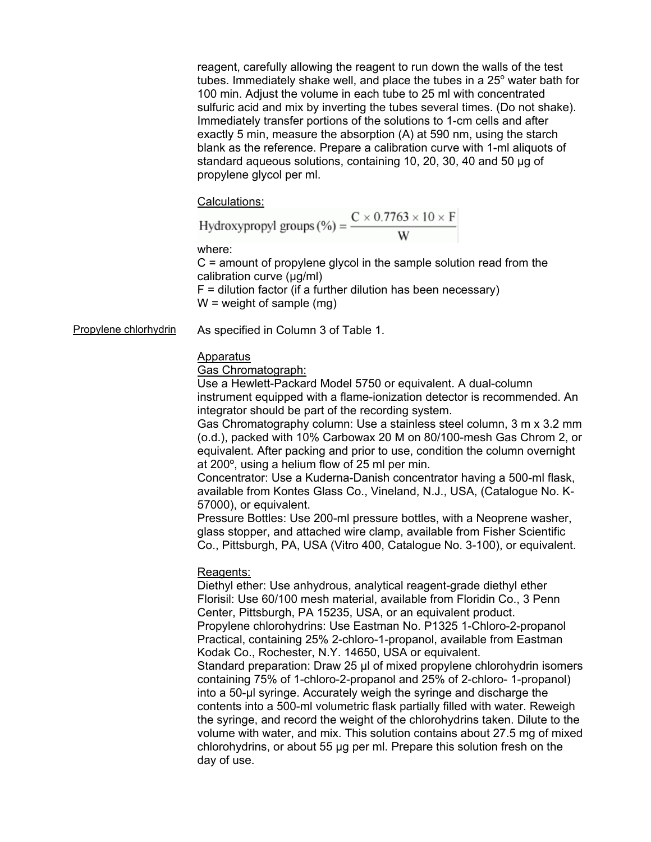reagent, carefully allowing the reagent to run down the walls of the test tubes. Immediately shake well, and place the tubes in a 25 $^{\circ}$  water bath for 100 min. Adjust the volume in each tube to 25 ml with concentrated sulfuric acid and mix by inverting the tubes several times. (Do not shake). Immediately transfer portions of the solutions to 1-cm cells and after exactly 5 min, measure the absorption (A) at 590 nm, using the starch blank as the reference. Prepare a calibration curve with 1-ml aliquots of standard aqueous solutions, containing 10, 20, 30, 40 and 50 µg of propylene glycol per ml.

Calculations:<br>Hydroxypropyl groups (%) =  $\frac{C \times 0.7763 \times 10 \times F}{W}$ 

where:

C = amount of propylene glycol in the sample solution read from the calibration curve (µg/ml)

 $F =$  dilution factor (if a further dilution has been necessary)  $W = weight of sample (mg)$ 

Propylene chlorhydrin As specified in Column 3 of Table 1.

# Apparatus

Gas Chromatograph:

Use a Hewlett-Packard Model 5750 or equivalent. A dual-column instrument equipped with a flame-ionization detector is recommended. An integrator should be part of the recording system.

Gas Chromatography column: Use a stainless steel column, 3 m x 3.2 mm (o.d.), packed with 10% Carbowax 20 M on 80/100-mesh Gas Chrom 2, or equivalent. After packing and prior to use, condition the column overnight at 200º, using a helium flow of 25 ml per min.

Concentrator: Use a Kuderna-Danish concentrator having a 500-ml flask, available from Kontes Glass Co., Vineland, N.J., USA, (Catalogue No. K-57000), or equivalent.

Pressure Bottles: Use 200-ml pressure bottles, with a Neoprene washer, glass stopper, and attached wire clamp, available from Fisher Scientific Co., Pittsburgh, PA, USA (Vitro 400, Catalogue No. 3-100), or equivalent.

# Reagents:

Diethyl ether: Use anhydrous, analytical reagent-grade diethyl ether Florisil: Use 60/100 mesh material, available from Floridin Co., 3 Penn Center, Pittsburgh, PA 15235, USA, or an equivalent product. Propylene chlorohydrins: Use Eastman No. P1325 1-Chloro-2-propanol Practical, containing 25% 2-chloro-1-propanol, available from Eastman Kodak Co., Rochester, N.Y. 14650, USA or equivalent. Standard preparation: Draw 25 µl of mixed propylene chlorohydrin isomers containing 75% of 1-chloro-2-propanol and 25% of 2-chloro- 1-propanol) into a 50-µl syringe. Accurately weigh the syringe and discharge the contents into a 500-ml volumetric flask partially filled with water. Reweigh the syringe, and record the weight of the chlorohydrins taken. Dilute to the volume with water, and mix. This solution contains about 27.5 mg of mixed chlorohydrins, or about 55 µg per ml. Prepare this solution fresh on the day of use.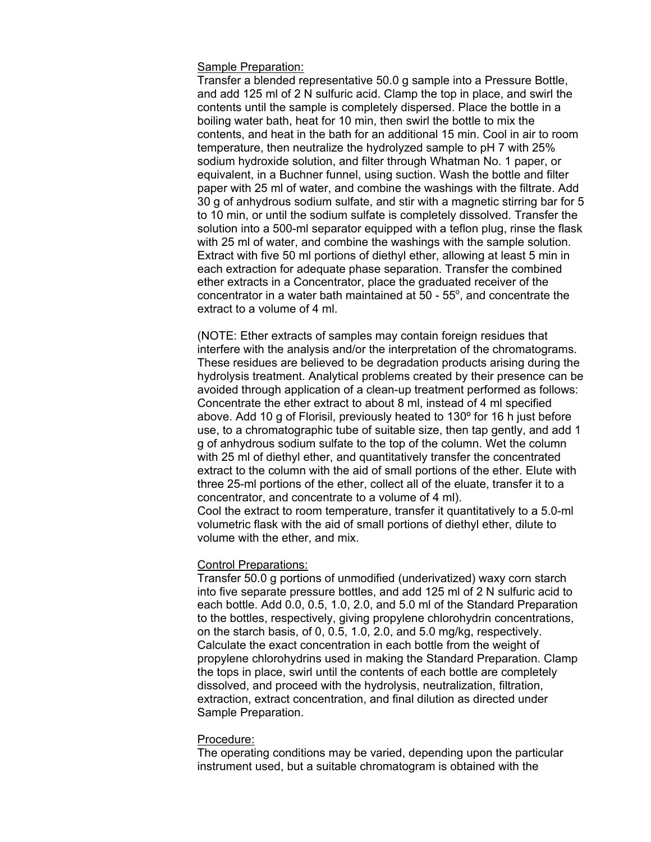# Sample Preparation:

Transfer a blended representative 50.0 g sample into a Pressure Bottle, and add 125 ml of 2 N sulfuric acid. Clamp the top in place, and swirl the contents until the sample is completely dispersed. Place the bottle in a boiling water bath, heat for 10 min, then swirl the bottle to mix the contents, and heat in the bath for an additional 15 min. Cool in air to room temperature, then neutralize the hydrolyzed sample to pH 7 with 25% sodium hydroxide solution, and filter through Whatman No. 1 paper, or equivalent, in a Buchner funnel, using suction. Wash the bottle and filter paper with 25 ml of water, and combine the washings with the filtrate. Add 30 g of anhydrous sodium sulfate, and stir with a magnetic stirring bar for 5 to 10 min, or until the sodium sulfate is completely dissolved. Transfer the solution into a 500-ml separator equipped with a teflon plug, rinse the flask with 25 ml of water, and combine the washings with the sample solution. Extract with five 50 ml portions of diethyl ether, allowing at least 5 min in each extraction for adequate phase separation. Transfer the combined ether extracts in a Concentrator, place the graduated receiver of the concentrator in a water bath maintained at  $50$  -  $55^{\circ}$ , and concentrate the extract to a volume of 4 ml.

(NOTE: Ether extracts of samples may contain foreign residues that interfere with the analysis and/or the interpretation of the chromatograms. These residues are believed to be degradation products arising during the hydrolysis treatment. Analytical problems created by their presence can be avoided through application of a clean-up treatment performed as follows: Concentrate the ether extract to about 8 ml, instead of 4 ml specified above. Add 10 g of Florisil, previously heated to 130º for 16 h just before use, to a chromatographic tube of suitable size, then tap gently, and add 1 g of anhydrous sodium sulfate to the top of the column. Wet the column with 25 ml of diethyl ether, and quantitatively transfer the concentrated extract to the column with the aid of small portions of the ether. Elute with three 25-ml portions of the ether, collect all of the eluate, transfer it to a concentrator, and concentrate to a volume of 4 ml). Cool the extract to room temperature, transfer it quantitatively to a 5.0-ml volumetric flask with the aid of small portions of diethyl ether, dilute to volume with the ether, and mix.

# Control Preparations:

Transfer 50.0 g portions of unmodified (underivatized) waxy corn starch into five separate pressure bottles, and add 125 ml of 2 N sulfuric acid to each bottle. Add 0.0, 0.5, 1.0, 2.0, and 5.0 ml of the Standard Preparation to the bottles, respectively, giving propylene chlorohydrin concentrations, on the starch basis, of 0, 0.5, 1.0, 2.0, and 5.0 mg/kg, respectively. Calculate the exact concentration in each bottle from the weight of propylene chlorohydrins used in making the Standard Preparation. Clamp the tops in place, swirl until the contents of each bottle are completely dissolved, and proceed with the hydrolysis, neutralization, filtration, extraction, extract concentration, and final dilution as directed under Sample Preparation.

#### Procedure:

The operating conditions may be varied, depending upon the particular instrument used, but a suitable chromatogram is obtained with the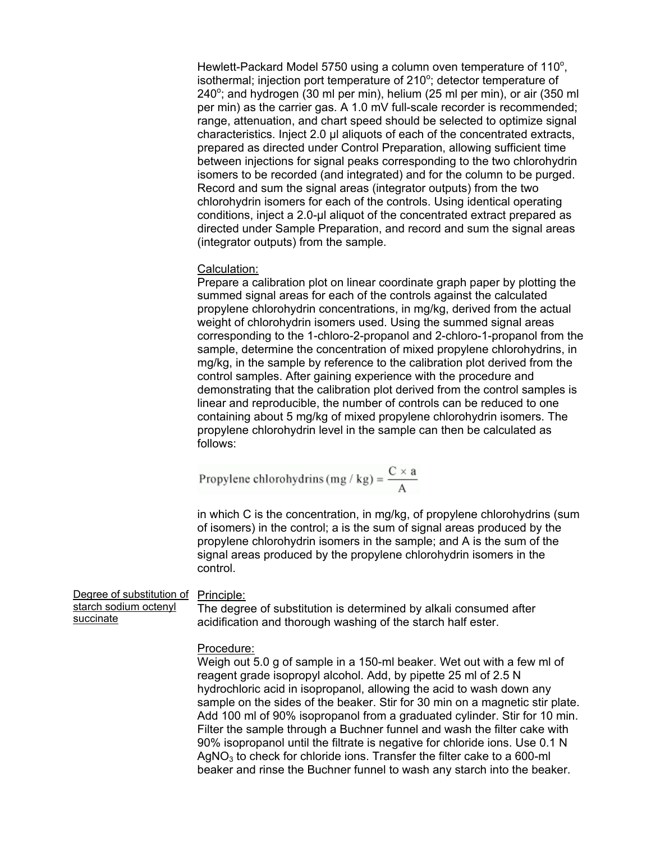Hewlett-Packard Model 5750 using a column oven temperature of 110°, isothermal; injection port temperature of 210°; detector temperature of 240°; and hydrogen (30 ml per min), helium (25 ml per min), or air (350 ml per min) as the carrier gas. A 1.0 mV full-scale recorder is recommended; range, attenuation, and chart speed should be selected to optimize signal characteristics. Inject 2.0 µl aliquots of each of the concentrated extracts, prepared as directed under Control Preparation, allowing sufficient time between injections for signal peaks corresponding to the two chlorohydrin isomers to be recorded (and integrated) and for the column to be purged. Record and sum the signal areas (integrator outputs) from the two chlorohydrin isomers for each of the controls. Using identical operating conditions, inject a 2.0-µl aliquot of the concentrated extract prepared as directed under Sample Preparation, and record and sum the signal areas (integrator outputs) from the sample.

# Calculation:

Prepare a calibration plot on linear coordinate graph paper by plotting the summed signal areas for each of the controls against the calculated propylene chlorohydrin concentrations, in mg/kg, derived from the actual weight of chlorohydrin isomers used. Using the summed signal areas corresponding to the 1-chloro-2-propanol and 2-chloro-1-propanol from the sample, determine the concentration of mixed propylene chlorohydrins, in mg/kg, in the sample by reference to the calibration plot derived from the control samples. After gaining experience with the procedure and demonstrating that the calibration plot derived from the control samples is linear and reproducible, the number of controls can be reduced to one containing about 5 mg/kg of mixed propylene chlorohydrin isomers. The propylene chlorohydrin level in the sample can then be calculated as follows:

Propylene chlorohydrins (mg / kg) = 
$$
\frac{C \times a}{A}
$$

in which C is the concentration, in mg/kg, of propylene chlorohydrins (sum of isomers) in the control; a is the sum of signal areas produced by the propylene chlorohydrin isomers in the sample; and A is the sum of the signal areas produced by the propylene chlorohydrin isomers in the control.

Degree of substitution of Principle: starch sodium octenyl succinate The degree of substitution is determined by alkali consumed after acidification and thorough washing of the starch half ester.

### Procedure:

Weigh out 5.0 g of sample in a 150-ml beaker. Wet out with a few ml of reagent grade isopropyl alcohol. Add, by pipette 25 ml of 2.5 N hydrochloric acid in isopropanol, allowing the acid to wash down any sample on the sides of the beaker. Stir for 30 min on a magnetic stir plate. Add 100 ml of 90% isopropanol from a graduated cylinder. Stir for 10 min. Filter the sample through a Buchner funnel and wash the filter cake with 90% isopropanol until the filtrate is negative for chloride ions. Use 0.1 N  $AqNO<sub>3</sub>$  to check for chloride ions. Transfer the filter cake to a 600-ml beaker and rinse the Buchner funnel to wash any starch into the beaker.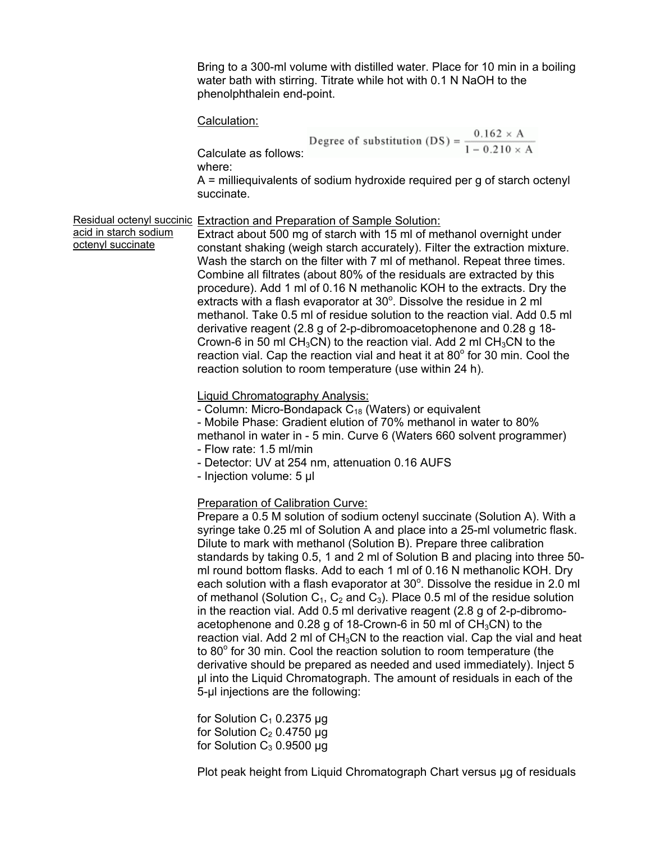Bring to a 300-ml volume with distilled water. Place for 10 min in a boiling water bath with stirring. Titrate while hot with 0.1 N NaOH to the phenolphthalein end-point.

#### Calculation:

$$
Degree of substitution (DS) = \frac{0.162 \times A}{1 - 0.210 \times A}
$$

where:

acid in starch sodium octenyl succinate

A = milliequivalents of sodium hydroxide required per g of starch octenyl succinate.

#### Residual octenyl succinic Extraction and Preparation of Sample Solution:

Extract about 500 mg of starch with 15 ml of methanol overnight under constant shaking (weigh starch accurately). Filter the extraction mixture. Wash the starch on the filter with 7 ml of methanol. Repeat three times. Combine all filtrates (about 80% of the residuals are extracted by this procedure). Add 1 ml of 0.16 N methanolic KOH to the extracts. Dry the extracts with a flash evaporator at  $30^{\circ}$ . Dissolve the residue in 2 ml methanol. Take 0.5 ml of residue solution to the reaction vial. Add 0.5 ml derivative reagent (2.8 g of 2-p-dibromoacetophenone and 0.28 g 18- Crown-6 in 50 ml CH<sub>3</sub>CN) to the reaction vial. Add 2 ml CH<sub>3</sub>CN to the reaction vial. Cap the reaction vial and heat it at  $80^\circ$  for 30 min. Cool the reaction solution to room temperature (use within 24 h).

Liquid Chromatography Analysis:

- Column: Micro-Bondapack  $C_{18}$  (Waters) or equivalent - Mobile Phase: Gradient elution of 70% methanol in water to 80% methanol in water in - 5 min. Curve 6 (Waters 660 solvent programmer) - Flow rate: 1.5 ml/min

- Detector: UV at 254 nm, attenuation 0.16 AUFS

- Injection volume: 5 µl

# Preparation of Calibration Curve:

Prepare a 0.5 M solution of sodium octenyl succinate (Solution A). With a syringe take 0.25 ml of Solution A and place into a 25-ml volumetric flask. Dilute to mark with methanol (Solution B). Prepare three calibration standards by taking 0.5, 1 and 2 ml of Solution B and placing into three 50 ml round bottom flasks. Add to each 1 ml of 0.16 N methanolic KOH. Dry each solution with a flash evaporator at  $30^{\circ}$ . Dissolve the residue in 2.0 ml of methanol (Solution  $C_1$ ,  $C_2$  and  $C_3$ ). Place 0.5 ml of the residue solution in the reaction vial. Add 0.5 ml derivative reagent (2.8 g of 2-p-dibromoacetophenone and 0.28 g of 18-Crown-6 in 50 ml of  $CH<sub>3</sub>CN$  to the reaction vial. Add 2 ml of  $CH<sub>3</sub>CN$  to the reaction vial. Cap the vial and heat to  $80^\circ$  for 30 min. Cool the reaction solution to room temperature (the derivative should be prepared as needed and used immediately). Inject 5 µl into the Liquid Chromatograph. The amount of residuals in each of the 5-µl injections are the following:

for Solution  $C_1$  0.2375 µg for Solution  $C_2$  0.4750 µg for Solution  $C_3$  0.9500 µg

Plot peak height from Liquid Chromatograph Chart versus µg of residuals